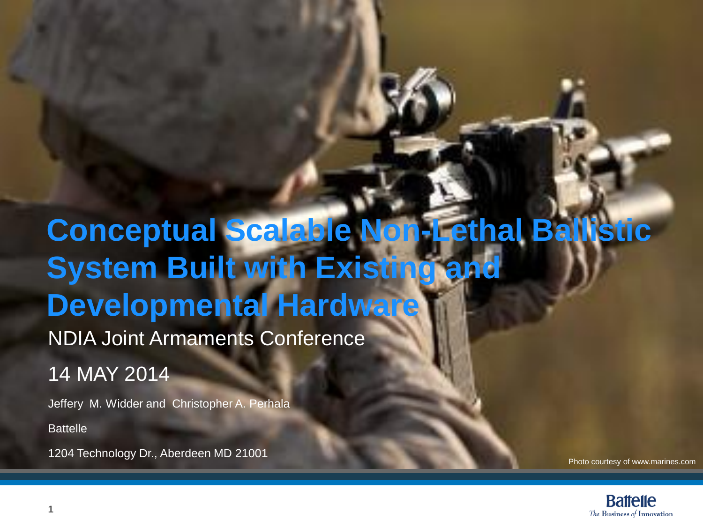#### **Conceptual Scalable Non-Lethal Ballistic System Built with Existing and Developmental Hardware** NDIA Joint Armaments Conference 14 MAY 2014

Jeffery M. Widder and Christopher A. Perhala **Battelle** 

1204 Technology Dr., Aberdeen MD 21001

Photo courtesy of www.marines.com

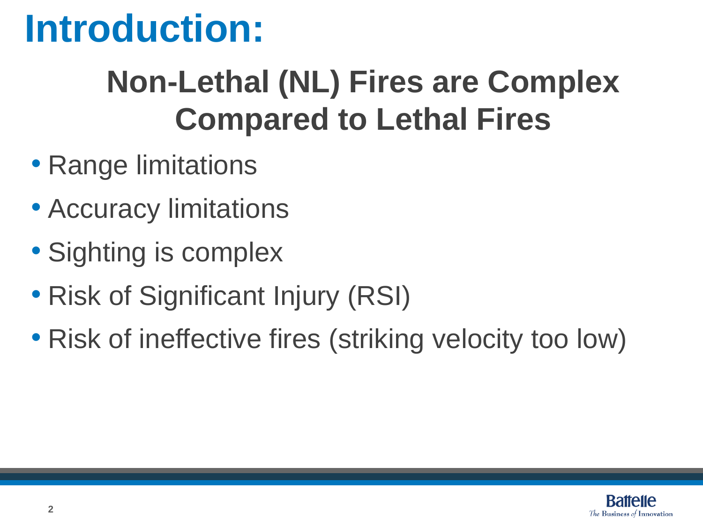#### **Introduction:**

#### **Non-Lethal (NL) Fires are Complex Compared to Lethal Fires**

- Range limitations
- Accuracy limitations
- Sighting is complex
- Risk of Significant Injury (RSI)
- Risk of ineffective fires (striking velocity too low)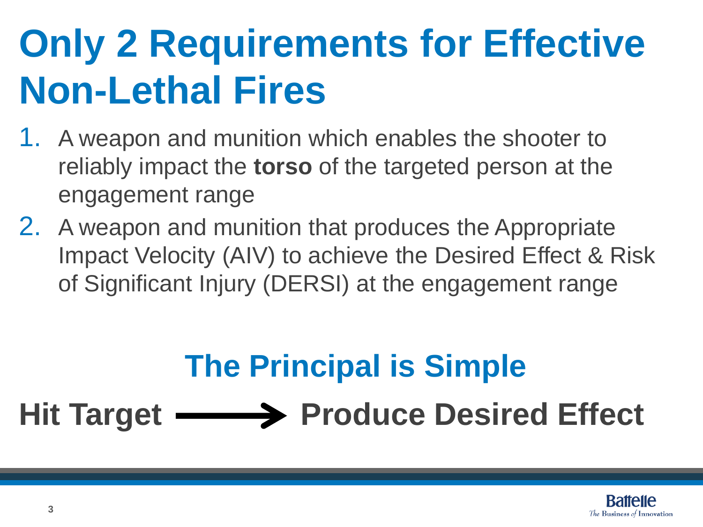## **Only 2 Requirements for Effective Non-Lethal Fires**

- 1. A weapon and munition which enables the shooter to reliably impact the **torso** of the targeted person at the engagement range
- 2. A weapon and munition that produces the Appropriate Impact Velocity (AIV) to achieve the Desired Effect & Risk of Significant Injury (DERSI) at the engagement range

#### **The Principal is Simple**

#### Hit Target **———>** Produce Desired Effect

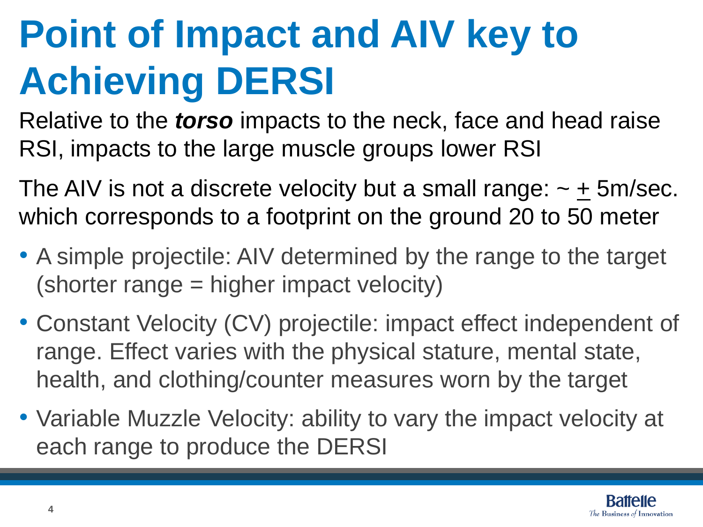# **Point of Impact and AIV key to Achieving DERSI**

Relative to the *torso* impacts to the neck, face and head raise RSI, impacts to the large muscle groups lower RSI

The AIV is not a discrete velocity but a small range:  $\sim \pm 5$ m/sec. which corresponds to a footprint on the ground 20 to 50 meter

- A simple projectile: AIV determined by the range to the target (shorter range = higher impact velocity)
- Constant Velocity (CV) projectile: impact effect independent of range. Effect varies with the physical stature, mental state, health, and clothing/counter measures worn by the target
- Variable Muzzle Velocity: ability to vary the impact velocity at each range to produce the DERSI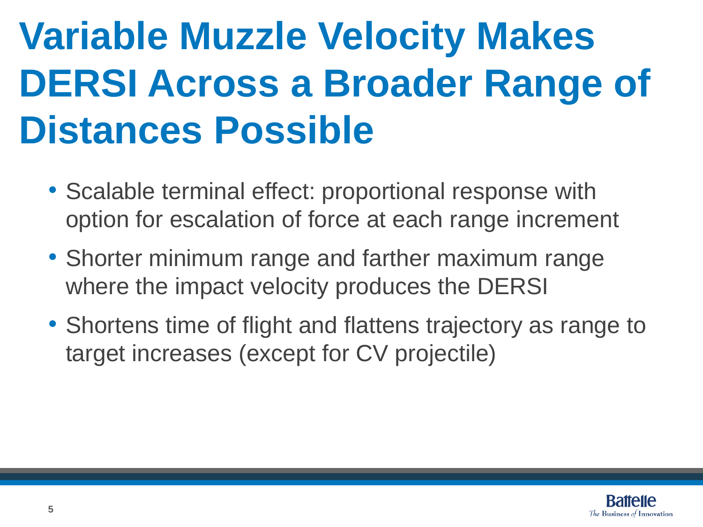# **Variable Muzzle Velocity Makes DERSI Across a Broader Range of Distances Possible**

- Scalable terminal effect: proportional response with option for escalation of force at each range increment
- Shorter minimum range and farther maximum range where the impact velocity produces the DERSI
- Shortens time of flight and flattens trajectory as range to target increases (except for CV projectile)

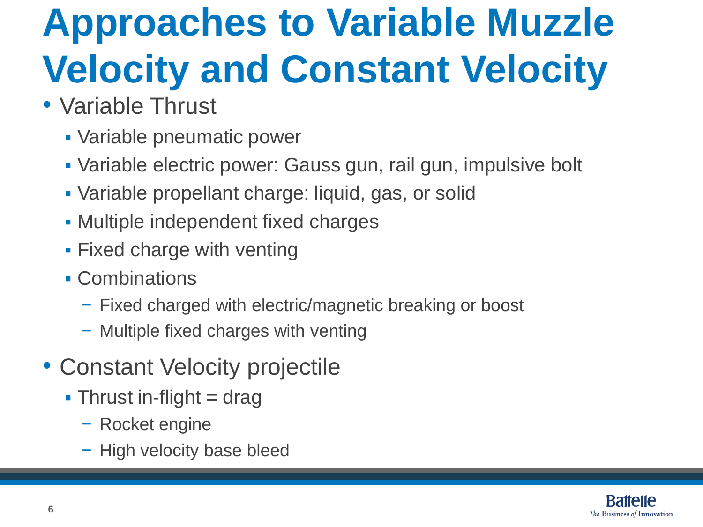# **Approaches to Variable Muzzle Velocity and Constant Velocity**

- Variable Thrust
	- Variable pneumatic power
	- Variable electric power: Gauss gun, rail gun, impulsive bolt
	- Variable propellant charge: liquid, gas, or solid
	- Multiple independent fixed charges
	- **Fixed charge with venting**
	- Combinations
		- − Fixed charged with electric/magnetic breaking or boost
		- − Multiple fixed charges with venting
- Constant Velocity projectile
	- $\blacksquare$  Thrust in-flight = drag
		- − Rocket engine
		- − High velocity base bleed

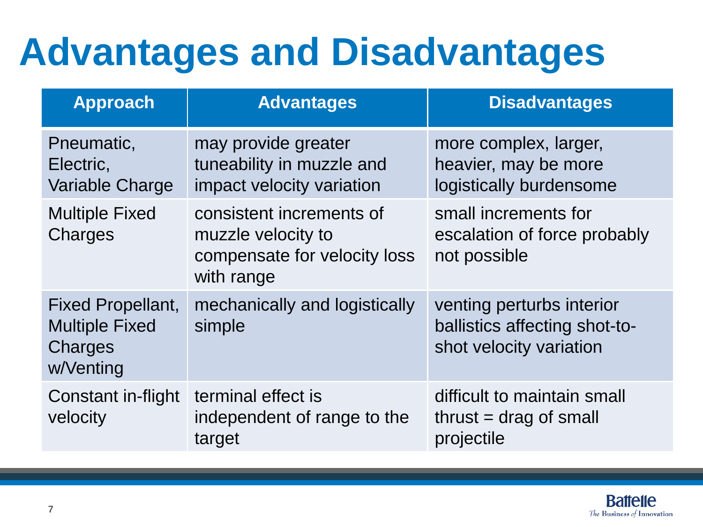## **Advantages and Disadvantages**

| <b>Approach</b>                                                           | <b>Advantages</b>                                                                            | <b>Disadvantages</b>                                                                  |  |  |  |  |
|---------------------------------------------------------------------------|----------------------------------------------------------------------------------------------|---------------------------------------------------------------------------------------|--|--|--|--|
| Pneumatic,<br>Electric,<br>Variable Charge                                | may provide greater<br>tuneability in muzzle and<br>impact velocity variation                | more complex, larger,<br>heavier, may be more<br>logistically burdensome              |  |  |  |  |
| <b>Multiple Fixed</b><br>Charges                                          | consistent increments of<br>muzzle velocity to<br>compensate for velocity loss<br>with range | small increments for<br>escalation of force probably<br>not possible                  |  |  |  |  |
| <b>Fixed Propellant,</b><br><b>Multiple Fixed</b><br>Charges<br>w/Venting | mechanically and logistically<br>simple                                                      | venting perturbs interior<br>ballistics affecting shot-to-<br>shot velocity variation |  |  |  |  |
| Constant in-flight<br>velocity                                            | terminal effect is<br>independent of range to the<br>target                                  | difficult to maintain small<br>$thrust = drag of small$<br>projectile                 |  |  |  |  |

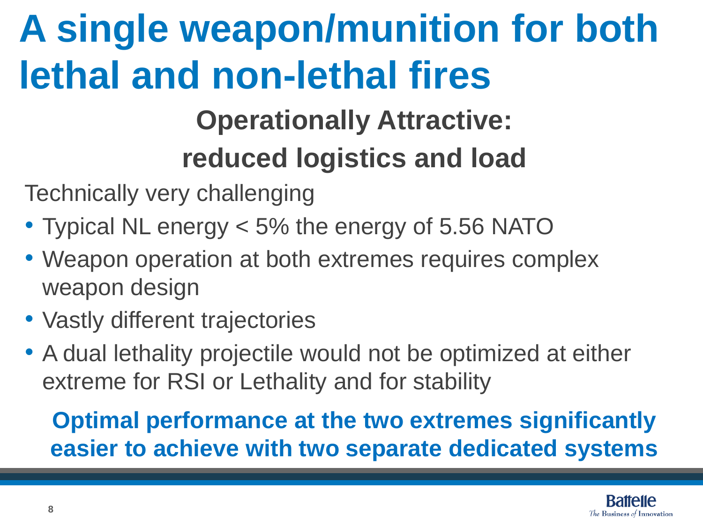# **A single weapon/munition for both lethal and non-lethal fires**

#### **Operationally Attractive: reduced logistics and load**

Technically very challenging

- Typical NL energy < 5% the energy of 5.56 NATO
- Weapon operation at both extremes requires complex weapon design
- Vastly different trajectories
- A dual lethality projectile would not be optimized at either extreme for RSI or Lethality and for stability

#### **Optimal performance at the two extremes significantly easier to achieve with two separate dedicated systems**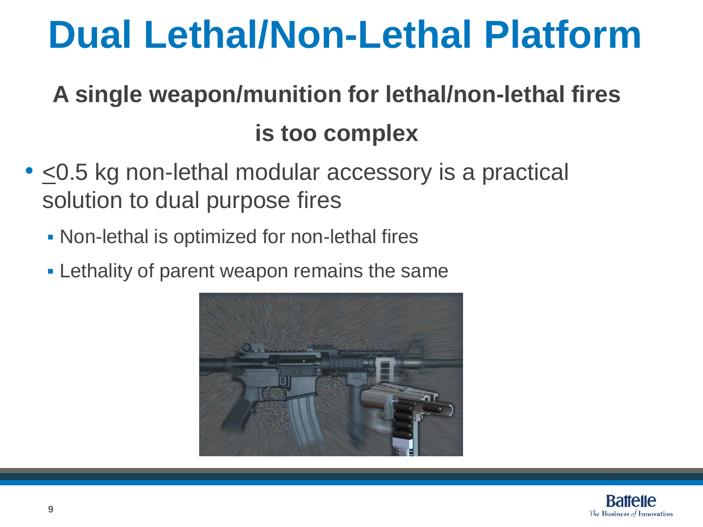#### **Dual Lethal/Non-Lethal Platform**

#### **A single weapon/munition for lethal/non-lethal fires is too complex**

- <0.5 kg non-lethal modular accessory is a practical solution to dual purpose fires
	- Non-lethal is optimized for non-lethal fires
	- **Example 1 Fig. 2** Lethality of parent weapon remains the same



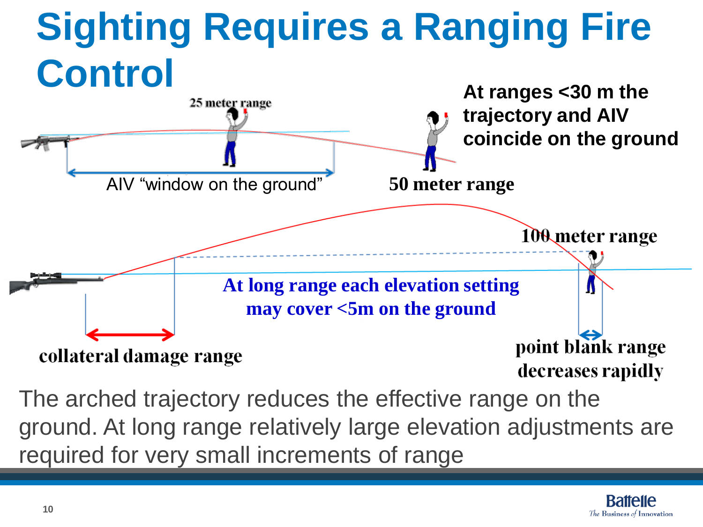# **Sighting Requires a Ranging Fire Control**



The arched trajectory reduces the effective range on the ground. At long range relatively large elevation adjustments are required for very small increments of range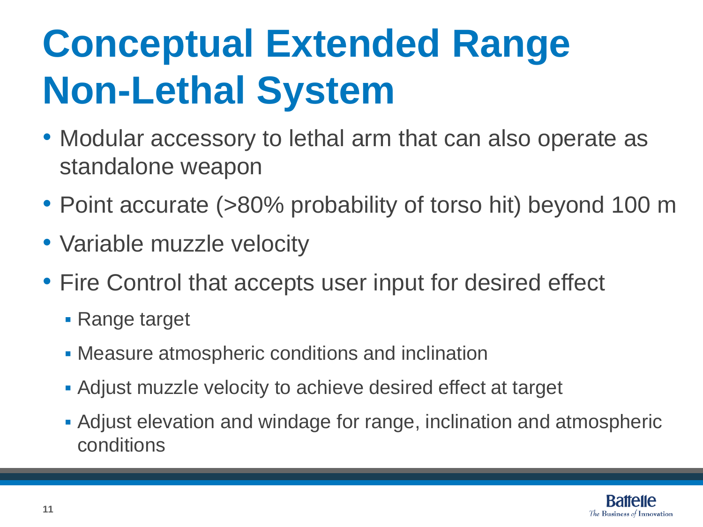# **Conceptual Extended Range Non-Lethal System**

- Modular accessory to lethal arm that can also operate as standalone weapon
- Point accurate (>80% probability of torso hit) beyond 100 m
- Variable muzzle velocity
- Fire Control that accepts user input for desired effect
	- Range target
	- Measure atmospheric conditions and inclination
	- Adjust muzzle velocity to achieve desired effect at target
	- Adjust elevation and windage for range, inclination and atmospheric conditions

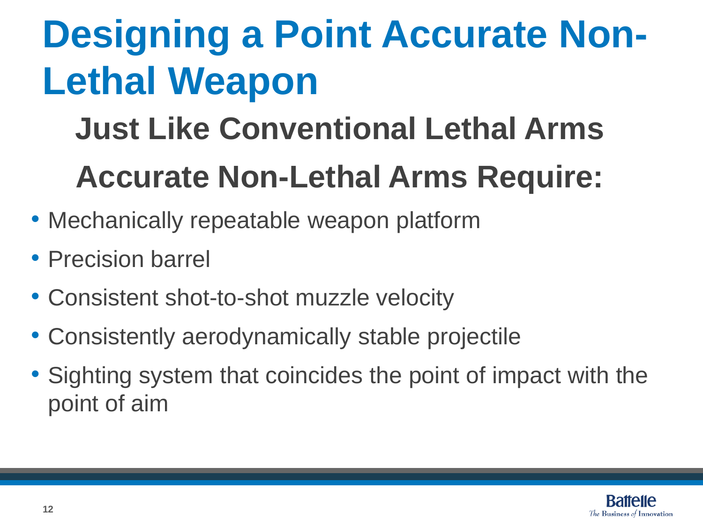# **Designing a Point Accurate Non-Lethal Weapon**

#### **Just Like Conventional Lethal Arms Accurate Non-Lethal Arms Require:**

- Mechanically repeatable weapon platform
- Precision barrel
- Consistent shot-to-shot muzzle velocity
- Consistently aerodynamically stable projectile
- Sighting system that coincides the point of impact with the point of aim

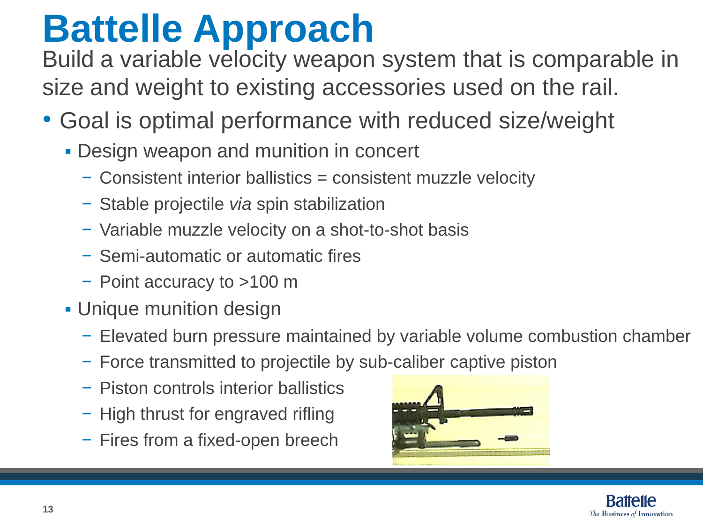## **Battelle Approach**

Build a variable velocity weapon system that is comparable in size and weight to existing accessories used on the rail.

- Goal is optimal performance with reduced size/weight
	- **Design weapon and munition in concert** 
		- − Consistent interior ballistics = consistent muzzle velocity
		- − Stable projectile *via* spin stabilization
		- − Variable muzzle velocity on a shot-to-shot basis
		- − Semi-automatic or automatic fires
		- − Point accuracy to >100 m
	- **Unique munition design** 
		- − Elevated burn pressure maintained by variable volume combustion chamber
		- − Force transmitted to projectile by sub-caliber captive piston
		- − Piston controls interior ballistics
		- − High thrust for engraved rifling
		- − Fires from a fixed-open breech



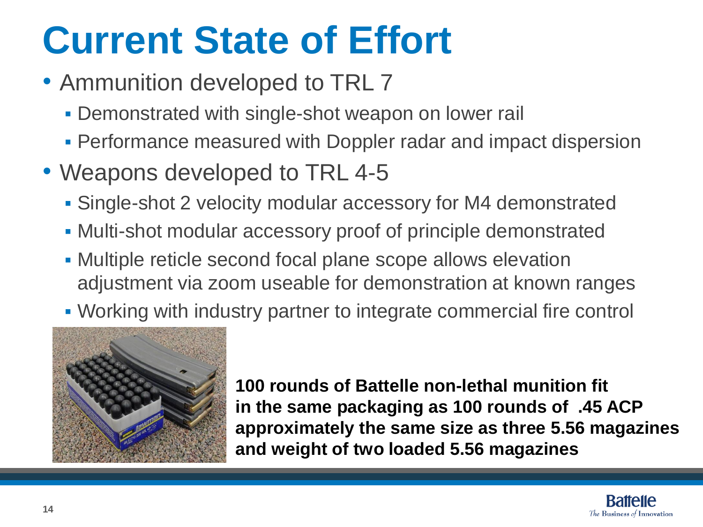### **Current State of Effort**

- Ammunition developed to TRL 7
	- **Demonstrated with single-shot weapon on lower rail**
	- **Performance measured with Doppler radar and impact dispersion**
- Weapons developed to TRL 4-5
	- Single-shot 2 velocity modular accessory for M4 demonstrated
	- Multi-shot modular accessory proof of principle demonstrated
	- Multiple reticle second focal plane scope allows elevation adjustment via zoom useable for demonstration at known ranges
	- Working with industry partner to integrate commercial fire control



**100 rounds of Battelle non-lethal munition fit in the same packaging as 100 rounds of .45 ACP approximately the same size as three 5.56 magazines and weight of two loaded 5.56 magazines**

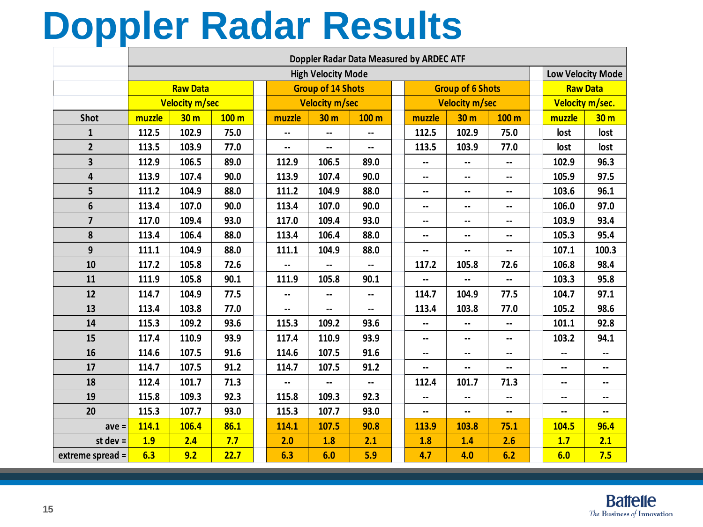#### **Doppler Radar Results**

|                  | Doppler Radar Data Measured by ARDEC ATF |                 |                  |  |                          |                 |                          |  |                          |                          |                          |  |                          |                          |  |
|------------------|------------------------------------------|-----------------|------------------|--|--------------------------|-----------------|--------------------------|--|--------------------------|--------------------------|--------------------------|--|--------------------------|--------------------------|--|
|                  | <b>High Velocity Mode</b>                |                 |                  |  |                          |                 |                          |  |                          |                          |                          |  | <b>Low Velocity Mode</b> |                          |  |
|                  | <b>Raw Data</b>                          |                 |                  |  | <b>Group of 14 Shots</b> |                 |                          |  | <b>Group of 6 Shots</b>  |                          |                          |  | <b>Raw Data</b>          |                          |  |
|                  | <b>Velocity m/sec</b>                    |                 |                  |  | <b>Velocity m/sec</b>    |                 |                          |  | <b>Velocity m/sec</b>    |                          |                          |  | Velocity m/sec.          |                          |  |
| <b>Shot</b>      | muzzle                                   | 30 <sub>m</sub> | 100 <sub>m</sub> |  | muzzle                   | 30 <sub>m</sub> | 100 m                    |  | muzzle                   | 30 <sub>m</sub>          | 100 m                    |  | muzzle                   | 30 <sub>m</sub>          |  |
| $\mathbf{1}$     | 112.5                                    | 102.9           | 75.0             |  | --                       | --              | --                       |  | 112.5                    | 102.9                    | 75.0                     |  | lost                     | lost                     |  |
| $\overline{2}$   | 113.5                                    | 103.9           | 77.0             |  | $\overline{\phantom{a}}$ | --              | $\overline{\phantom{a}}$ |  | 113.5                    | 103.9                    | 77.0                     |  | lost                     | lost                     |  |
| 3                | 112.9                                    | 106.5           | 89.0             |  | 112.9                    | 106.5           | 89.0                     |  | --                       | --                       | --                       |  | 102.9                    | 96.3                     |  |
| 4                | 113.9                                    | 107.4           | 90.0             |  | 113.9                    | 107.4           | 90.0                     |  | --                       | --                       | --                       |  | 105.9                    | 97.5                     |  |
| 5                | 111.2                                    | 104.9           | 88.0             |  | 111.2                    | 104.9           | 88.0                     |  | --                       | --                       | --                       |  | 103.6                    | 96.1                     |  |
| 6                | 113.4                                    | 107.0           | 90.0             |  | 113.4                    | 107.0           | 90.0                     |  | --                       | $\overline{\phantom{a}}$ | $\overline{\phantom{a}}$ |  | 106.0                    | 97.0                     |  |
| $\overline{7}$   | 117.0                                    | 109.4           | 93.0             |  | 117.0                    | 109.4           | 93.0                     |  | --                       | --                       | --                       |  | 103.9                    | 93.4                     |  |
| 8                | 113.4                                    | 106.4           | 88.0             |  | 113.4                    | 106.4           | 88.0                     |  | --                       | --                       | --                       |  | 105.3                    | 95.4                     |  |
| 9                | 111.1                                    | 104.9           | 88.0             |  | 111.1                    | 104.9           | 88.0                     |  | --                       | --                       | --                       |  | 107.1                    | 100.3                    |  |
| 10               | 117.2                                    | 105.8           | 72.6             |  | --                       | --              | $\overline{\phantom{a}}$ |  | 117.2                    | 105.8                    | 72.6                     |  | 106.8                    | 98.4                     |  |
| 11               | 111.9                                    | 105.8           | 90.1             |  | 111.9                    | 105.8           | 90.1                     |  | --                       | --                       | --                       |  | 103.3                    | 95.8                     |  |
| 12               | 114.7                                    | 104.9           | 77.5             |  | --                       | --              | --                       |  | 114.7                    | 104.9                    | 77.5                     |  | 104.7                    | 97.1                     |  |
| 13               | 113.4                                    | 103.8           | 77.0             |  | $\overline{\phantom{a}}$ | --              | --                       |  | 113.4                    | 103.8                    | 77.0                     |  | 105.2                    | 98.6                     |  |
| 14               | 115.3                                    | 109.2           | 93.6             |  | 115.3                    | 109.2           | 93.6                     |  | $\overline{\phantom{a}}$ | $\overline{\phantom{a}}$ | --                       |  | 101.1                    | 92.8                     |  |
| 15               | 117.4                                    | 110.9           | 93.9             |  | 117.4                    | 110.9           | 93.9                     |  | --                       | $\overline{\phantom{a}}$ | --                       |  | 103.2                    | 94.1                     |  |
| 16               | 114.6                                    | 107.5           | 91.6             |  | 114.6                    | 107.5           | 91.6                     |  | --                       | --                       | --                       |  | $\overline{\phantom{a}}$ | --                       |  |
| 17               | 114.7                                    | 107.5           | 91.2             |  | 114.7                    | 107.5           | 91.2                     |  | --                       | $\overline{\phantom{a}}$ | $\overline{\phantom{a}}$ |  | $\overline{\phantom{a}}$ | --                       |  |
| 18               | 112.4                                    | 101.7           | 71.3             |  | --                       | --              | --                       |  | 112.4                    | 101.7                    | 71.3                     |  | --                       | --                       |  |
| 19               | 115.8                                    | 109.3           | 92.3             |  | 115.8                    | 109.3           | 92.3                     |  | --                       | --                       | --                       |  | --                       | --                       |  |
| 20               | 115.3                                    | 107.7           | 93.0             |  | 115.3                    | 107.7           | 93.0                     |  | --                       | $\overline{\phantom{a}}$ | --                       |  | --                       | $\overline{\phantom{a}}$ |  |
| $ave =$          | 114.1                                    | 106.4           | 86.1             |  | 114.1                    | 107.5           | 90.8                     |  | 113.9                    | 103.8                    | 75.1                     |  | 104.5                    | 96.4                     |  |
| st dev $=$       | 1.9                                      | 2.4             | 7.7              |  | 2.0                      | 1.8             | 2.1                      |  | 1.8                      | 1.4                      | 2.6                      |  | 1.7                      | 2.1                      |  |
| extreme spread = | 6.3                                      | 9.2             | 22.7             |  | 6.3                      | 6.0             | 5.9                      |  | 4.7                      | 4.0                      | 6.2                      |  | 6.0                      | 7.5                      |  |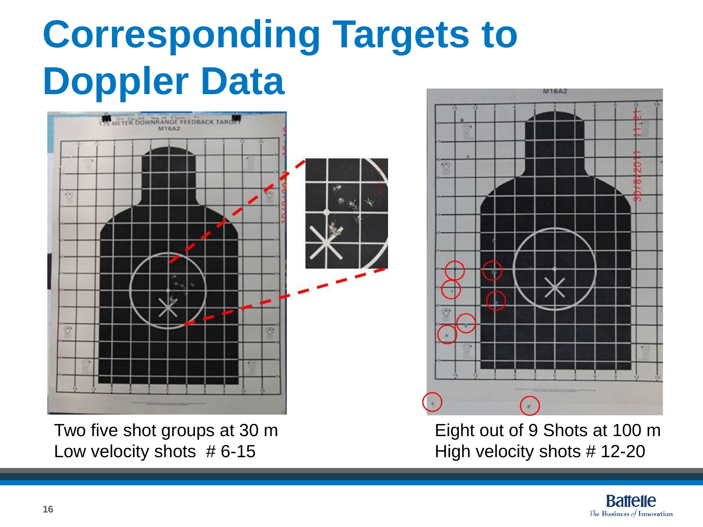# **Corresponding Targets to Doppler Data**



Two five shot groups at 30 m Low velocity shots  $# 6-15$ 



Eight out of 9 Shots at 100 m High velocity shots # 12-20

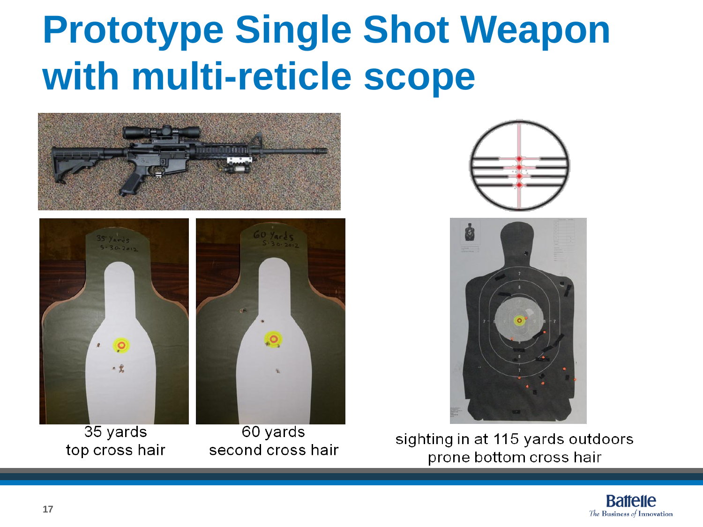### **Prototype Single Shot Weapon with multi-reticle scope**



35 yards top cross hair

60 yards second cross hair



sighting in at 115 yards outdoors prone bottom cross hair

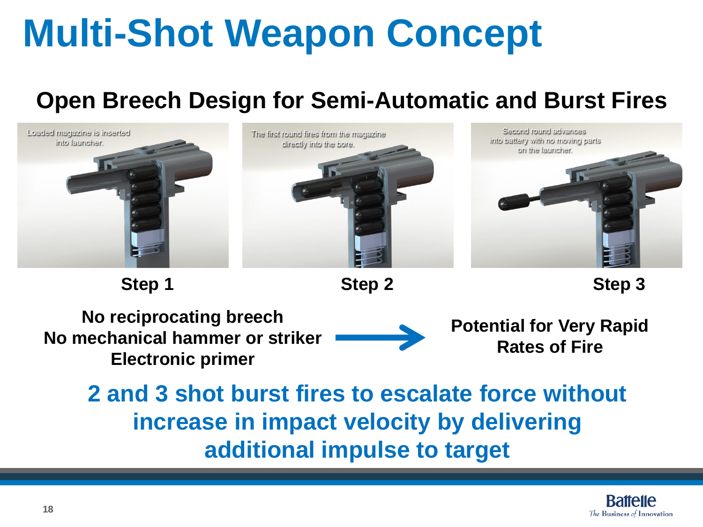## **Multi-Shot Weapon Concept**

#### **Open Breech Design for Semi-Automatic and Burst Fires**



**Step 1 Step 2 Step 3**

**No reciprocating breech No mechanical hammer or striker Electronic primer** 

**Potential for Very Rapid Rates of Fire**

**2 and 3 shot burst fires to escalate force without increase in impact velocity by delivering additional impulse to target**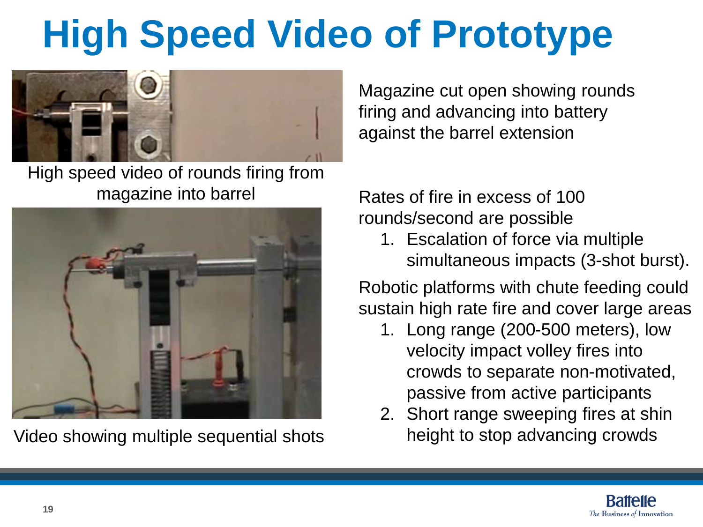# **High Speed Video of Prototype**



High speed video of rounds firing from magazine into barrel Rates of fire in excess of 100



Video showing multiple sequential shots

Magazine cut open showing rounds firing and advancing into battery against the barrel extension

rounds/second are possible

1. Escalation of force via multiple simultaneous impacts (3-shot burst).

Robotic platforms with chute feeding could sustain high rate fire and cover large areas

- 1. Long range (200-500 meters), low velocity impact volley fires into crowds to separate non-motivated, passive from active participants
- 2. Short range sweeping fires at shin height to stop advancing crowds

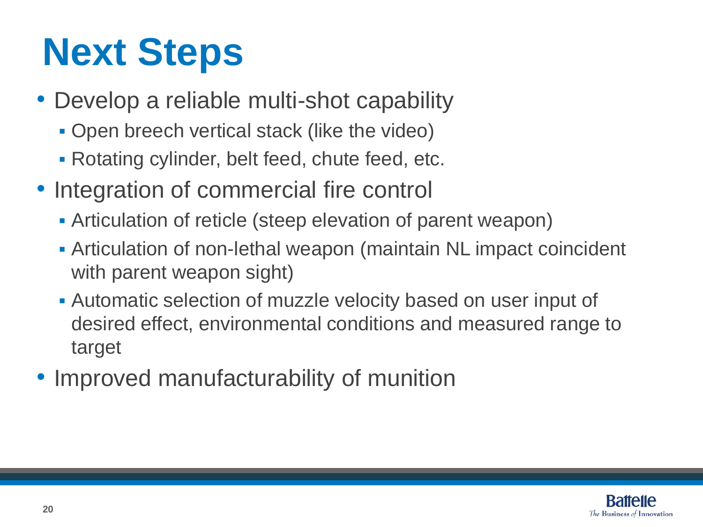# **Next Steps**

- Develop a reliable multi-shot capability
	- **Open breech vertical stack (like the video)**
	- Rotating cylinder, belt feed, chute feed, etc.
- Integration of commercial fire control
	- Articulation of reticle (steep elevation of parent weapon)
	- Articulation of non-lethal weapon (maintain NL impact coincident with parent weapon sight)
	- Automatic selection of muzzle velocity based on user input of desired effect, environmental conditions and measured range to target
- Improved manufacturability of munition